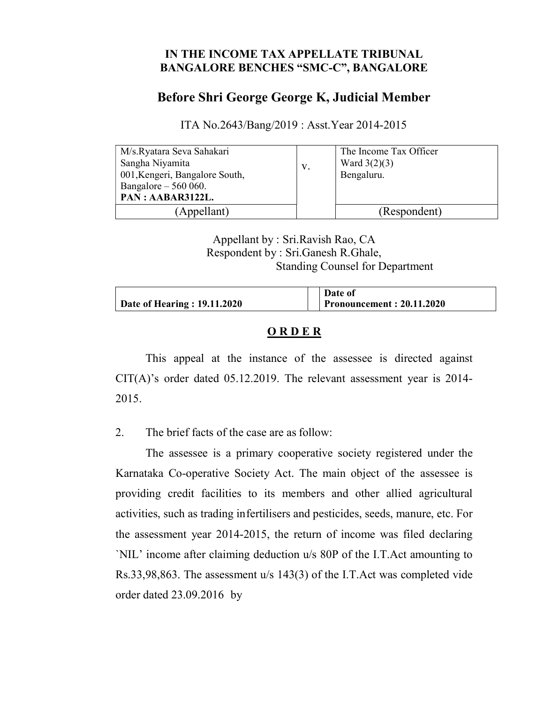### IN THE INCOME TAX APPELLATE TRIBUNAL BANGALORE BENCHES "SMC-C", BANGALORE

# Before Shri George George K, Judicial Member

ITA No.2643/Bang/2019 : Asst.Year 2014-2015

| M/s.Ryatara Seva Sahakari      |    | The Income Tax Officer |
|--------------------------------|----|------------------------|
| Sangha Niyamita                | V. | Ward $3(2)(3)$         |
| 001, Kengeri, Bangalore South, |    | Bengaluru.             |
| Bangalore $-560060$ .          |    |                        |
| PAN: AABAR3122L.               |    |                        |
| (Appellant)                    |    | (Respondent)           |

Appellant by : Sri.Ravish Rao, CA Respondent by : Sri.Ganesh R.Ghale, Standing Counsel for Department

|                              | Date of                          |
|------------------------------|----------------------------------|
| Date of Hearing : 19.11.2020 | <b>Pronouncement: 20.11.2020</b> |

### ORDER

This appeal at the instance of the assessee is directed against CIT(A)'s order dated 05.12.2019. The relevant assessment year is 2014- 2015.

2. The brief facts of the case are as follow:

The assessee is a primary cooperative society registered under the Karnataka Co-operative Society Act. The main object of the assessee is providing credit facilities to its members and other allied agricultural activities, such as trading in fertilisers and pesticides, seeds, manure, etc. For the assessment year 2014-2015, the return of income was filed declaring `NIL' income after claiming deduction u/s 80P of the I.T.Act amounting to Rs.33,98,863. The assessment u/s 143(3) of the I.T.Act was completed vide order dated 23.09.2016 by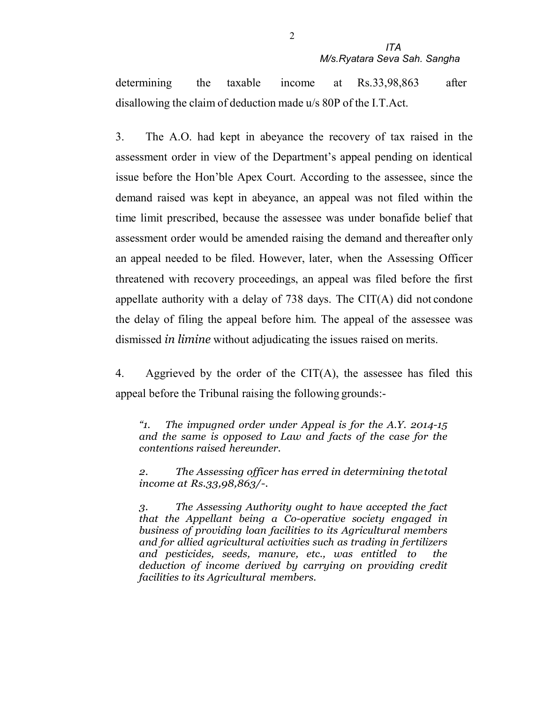determining the taxable income at Rs.33,98,863 after disallowing the claim of deduction made u/s 80P of the I.T.Act.

3. The A.O. had kept in abeyance the recovery of tax raised in the assessment order in view of the Department's appeal pending on identical issue before the Hon'ble Apex Court. According to the assessee, since the demand raised was kept in abeyance, an appeal was not filed within the time limit prescribed, because the assessee was under bonafide belief that assessment order would be amended raising the demand and thereafter only an appeal needed to be filed. However, later, when the Assessing Officer threatened with recovery proceedings, an appeal was filed before the first appellate authority with a delay of 738 days. The CIT(A) did not condone the delay of filing the appeal before him. The appeal of the assessee was dismissed *in limine* without adjudicating the issues raised on merits.

4. Aggrieved by the order of the  $CIT(A)$ , the assessee has filed this appeal before the Tribunal raising the following grounds:-

"1. The impugned order under Appeal is for the A.Y. 2014-15 and the same is opposed to Law and facts of the case for the contentions raised hereunder.

2. The Assessing officer has erred in determining the total income at Rs.33,98,863/-.

3. The Assessing Authority ought to have accepted the fact that the Appellant being a Co-operative society engaged in business of providing loan facilities to its Agricultural members and for allied agricultural activities such as trading in fertilizers and pesticides, seeds, manure, etc., was entitled to the deduction of income derived by carrying on providing credit facilities to its Agricultural members.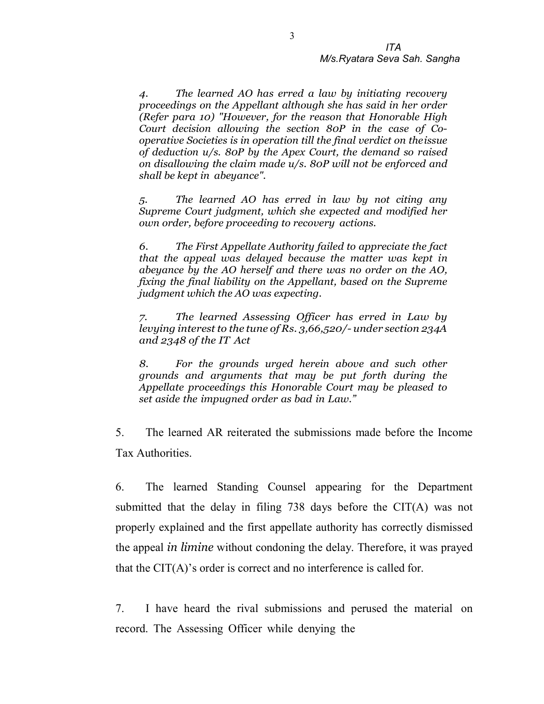4. The learned AO has erred a law by initiating recovery proceedings on the Appellant although she has said in her order (Refer para 10) "However, for the reason that Honorable High Court decision allowing the section 80P in the case of Cooperative Societies is in operation till the final verdict on the issue of deduction u/s. 80P by the Apex Court, the demand so raised on disallowing the claim made u/s. 80P will not be enforced and shall be kept in abeyance".

5. The learned AO has erred in law by not citing any Supreme Court judgment, which she expected and modified her own order, before proceeding to recovery actions.

6. The First Appellate Authority failed to appreciate the fact that the appeal was delayed because the matter was kept in abeyance by the AO herself and there was no order on the AO, fixing the final liability on the Appellant, based on the Supreme judgment which the AO was expecting.

The learned Assessing Officer has erred in Law by levying interest to the tune of Rs. 3,66,520/- under section 234A and 2348 of the IT Act

8. For the grounds urged herein above and such other grounds and arguments that may be put forth during the Appellate proceedings this Honorable Court may be pleased to set aside the impugned order as bad in Law."

5. The learned AR reiterated the submissions made before the Income Tax Authorities.

6. The learned Standing Counsel appearing for the Department submitted that the delay in filing 738 days before the CIT(A) was not properly explained and the first appellate authority has correctly dismissed the appeal in limine without condoning the delay. Therefore, it was prayed that the CIT(A)'s order is correct and no interference is called for.

7. I have heard the rival submissions and perused the material on record. The Assessing Officer while denying the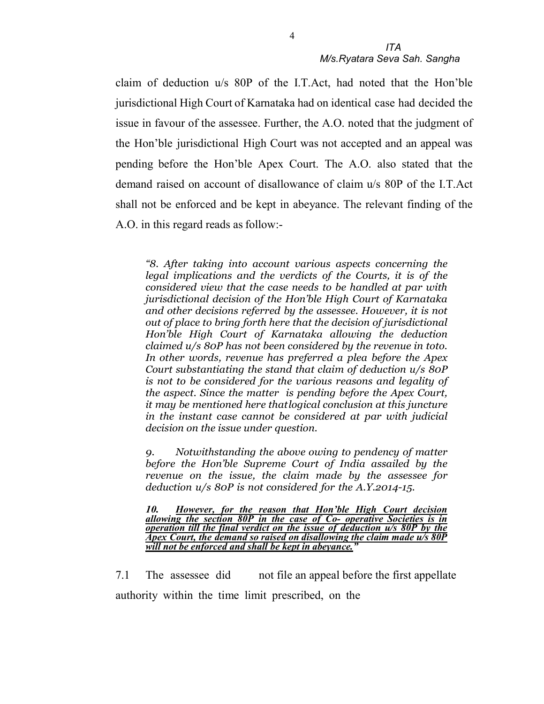claim of deduction u/s 80P of the I.T.Act, had noted that the Hon'ble jurisdictional High Court of Karnataka had on identical case had decided the issue in favour of the assessee. Further, the A.O. noted that the judgment of the Hon'ble jurisdictional High Court was not accepted and an appeal was pending before the Hon'ble Apex Court. The A.O. also stated that the demand raised on account of disallowance of claim u/s 80P of the I.T.Act shall not be enforced and be kept in abeyance. The relevant finding of the A.O. in this regard reads as follow:-

"8. After taking into account various aspects concerning the legal implications and the verdicts of the Courts, it is of the considered view that the case needs to be handled at par with jurisdictional decision of the Hon'ble High Court of Karnataka and other decisions referred by the assessee. However, it is not out of place to bring forth here that the decision of jurisdictional Hon'ble High Court of Karnataka allowing the deduction claimed u/s 80P has not been considered by the revenue in toto. In other words, revenue has preferred a plea before the Apex Court substantiating the stand that claim of deduction u/s 80P is not to be considered for the various reasons and legality of the aspect. Since the matter is pending before the Apex Court, it may be mentioned here that logical conclusion at this juncture in the instant case cannot be considered at par with judicial decision on the issue under question.

9. Notwithstanding the above owing to pendency of matter before the Hon'ble Supreme Court of India assailed by the revenue on the issue, the claim made by the assessee for deduction u/s 80P is not considered for the A.Y.2014-15.

10. However, for the reason that Hon'ble High Court decision allowing the section  $80P$  in the case of  $Co$ - operative Societies is in operation till the final verdict on the issue of deduction u/s 80P by the Apex Court, the demand so raised on disallowing the claim made  $u/s\ 80P$ will not be enforced and shall be kept in abeyance.

7.1 The assessee did not file an appeal before the first appellate authority within the time limit prescribed, on the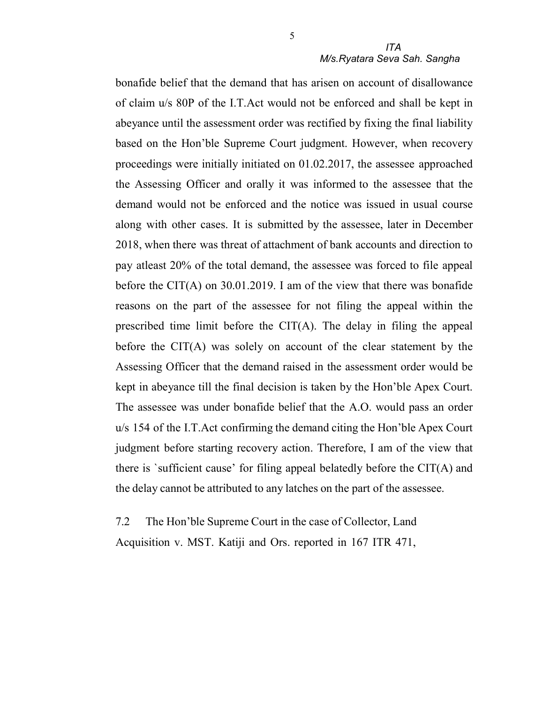### ITA M/s.Ryatara Seva Sah. Sangha

bonafide belief that the demand that has arisen on account of disallowance of claim u/s 80P of the I.T.Act would not be enforced and shall be kept in abeyance until the assessment order was rectified by fixing the final liability based on the Hon'ble Supreme Court judgment. However, when recovery proceedings were initially initiated on 01.02.2017, the assessee approached the Assessing Officer and orally it was informed to the assessee that the demand would not be enforced and the notice was issued in usual course along with other cases. It is submitted by the assessee, later in December 2018, when there was threat of attachment of bank accounts and direction to pay atleast 20% of the total demand, the assessee was forced to file appeal before the CIT(A) on 30.01.2019. I am of the view that there was bonafide reasons on the part of the assessee for not filing the appeal within the prescribed time limit before the  $CIT(A)$ . The delay in filing the appeal before the CIT(A) was solely on account of the clear statement by the Assessing Officer that the demand raised in the assessment order would be kept in abeyance till the final decision is taken by the Hon'ble Apex Court. The assessee was under bonafide belief that the A.O. would pass an order u/s 154 of the I.T.Act confirming the demand citing the Hon'ble Apex Court judgment before starting recovery action. Therefore, I am of the view that there is 'sufficient cause' for filing appeal belatedly before the  $CIT(A)$  and the delay cannot be attributed to any latches on the part of the assessee.

7.2 The Hon'ble Supreme Court in the case of Collector, Land Acquisition v. MST. Katiji and Ors. reported in 167 ITR 471,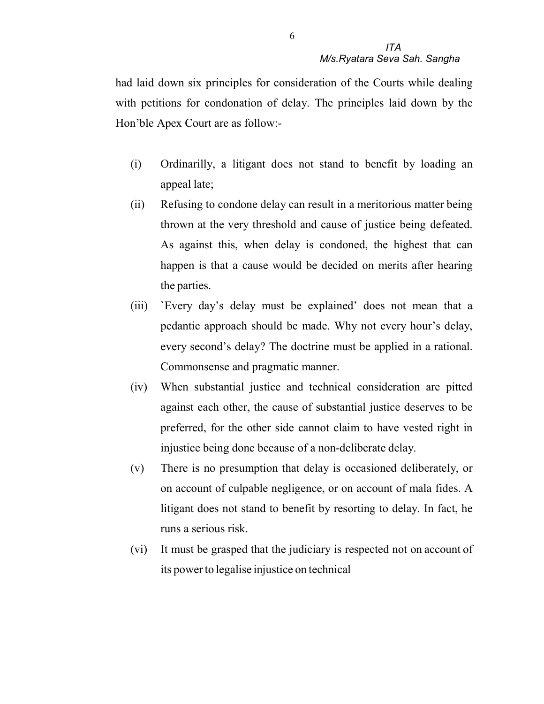had laid down six principles for consideration of the Courts while dealing with petitions for condonation of delay. The principles laid down by the Hon'ble Apex Court are as follow:-

- (i) Ordinarilly, a litigant does not stand to benefit by loading an appeal late;
- (ii) Refusing to condone delay can result in a meritorious matter being thrown at the very threshold and cause of justice being defeated. As against this, when delay is condoned, the highest that can happen is that a cause would be decided on merits after hearing the parties.
- (iii) `Every day's delay must be explained' does not mean that a pedantic approach should be made. Why not every hour's delay, every second's delay? The doctrine must be applied in a rational. Commonsense and pragmatic manner.
- (iv) When substantial justice and technical consideration are pitted against each other, the cause of substantial justice deserves to be preferred, for the other side cannot claim to have vested right in injustice being done because of a non-deliberate delay.
- (v) There is no presumption that delay is occasioned deliberately, or on account of culpable negligence, or on account of mala fides. A litigant does not stand to benefit by resorting to delay. In fact, he runs a serious risk.
- (vi) It must be grasped that the judiciary is respected not on account of its power to legalise injustice on technical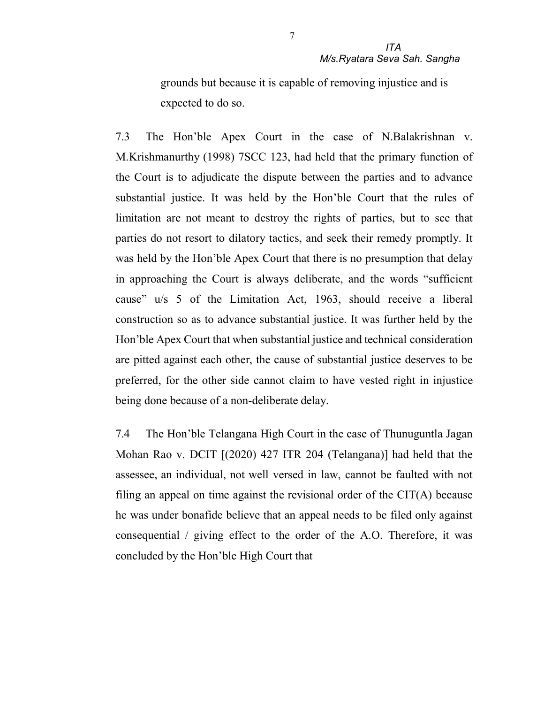grounds but because it is capable of removing injustice and is expected to do so.

7.3 The Hon'ble Apex Court in the case of N.Balakrishnan v. M.Krishmanurthy (1998) 7SCC 123, had held that the primary function of the Court is to adjudicate the dispute between the parties and to advance substantial justice. It was held by the Hon'ble Court that the rules of limitation are not meant to destroy the rights of parties, but to see that parties do not resort to dilatory tactics, and seek their remedy promptly. It was held by the Hon'ble Apex Court that there is no presumption that delay in approaching the Court is always deliberate, and the words "sufficient cause" u/s 5 of the Limitation Act, 1963, should receive a liberal construction so as to advance substantial justice. It was further held by the Hon'ble Apex Court that when substantial justice and technical consideration are pitted against each other, the cause of substantial justice deserves to be preferred, for the other side cannot claim to have vested right in injustice being done because of a non-deliberate delay.

7.4 The Hon'ble Telangana High Court in the case of Thunuguntla Jagan Mohan Rao v. DCIT [(2020) 427 ITR 204 (Telangana)] had held that the assessee, an individual, not well versed in law, cannot be faulted with not filing an appeal on time against the revisional order of the  $CIT(A)$  because he was under bonafide believe that an appeal needs to be filed only against consequential / giving effect to the order of the A.O. Therefore, it was concluded by the Hon'ble High Court that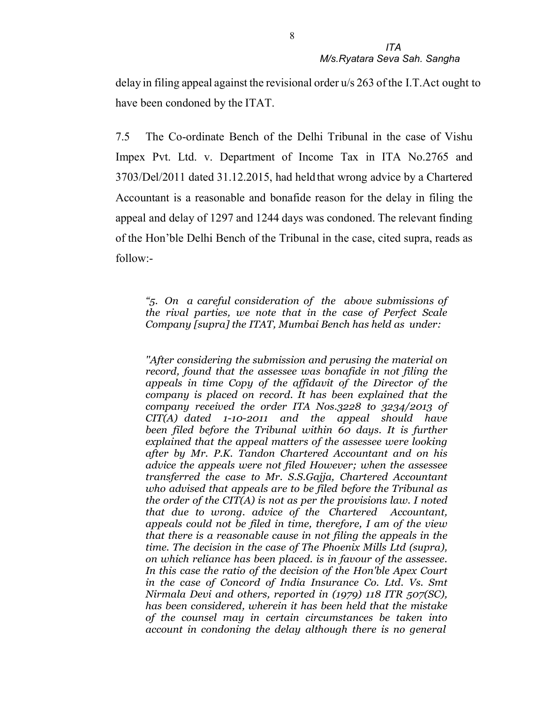delay in filing appeal against the revisional order u/s 263 of the I.T.Act ought to have been condoned by the ITAT.

7.5 The Co-ordinate Bench of the Delhi Tribunal in the case of Vishu Impex Pvt. Ltd. v. Department of Income Tax in ITA No.2765 and 3703/Del/2011 dated 31.12.2015, had held that wrong advice by a Chartered Accountant is a reasonable and bonafide reason for the delay in filing the appeal and delay of 1297 and 1244 days was condoned. The relevant finding of the Hon'ble Delhi Bench of the Tribunal in the case, cited supra, reads as follow:-

"5. On a careful consideration of the above submissions of the rival parties, we note that in the case of Perfect Scale Company [supra] the ITAT, Mumbai Bench has held as under:

''After considering the submission and perusing the material on record, found that the assessee was bonafide in not filing the appeals in time Copy of the affidavit of the Director of the company is placed on record. It has been explained that the company received the order ITA Nos.3228 to 3234/2013 of  $CIT(A)$  dated  $1-10-2011$  and the appeal should have been filed before the Tribunal within 60 days. It is further explained that the appeal matters of the assessee were looking after by Mr. P.K. Tandon Chartered Accountant and on his advice the appeals were not filed However; when the assessee transferred the case to Mr. S.S.Gajja, Chartered Accountant who advised that appeals are to be filed before the Tribunal as the order of the CIT(A) is not as per the provisions law. I noted that due to wrong. advice of the Chartered Accountant, appeals could not be filed in time, therefore, I am of the view that there is a reasonable cause in not filing the appeals in the time. The decision in the case of The Phoenix Mills Ltd (supra), on which reliance has been placed. is in favour of the assessee. In this case the ratio of the decision of the Hon'ble Apex Court in the case of Concord of India Insurance Co. Ltd. Vs. Smt Nirmala Devi and others, reported in (1979) 118 ITR 507(SC), has been considered, wherein it has been held that the mistake of the counsel may in certain circumstances be taken into account in condoning the delay although there is no general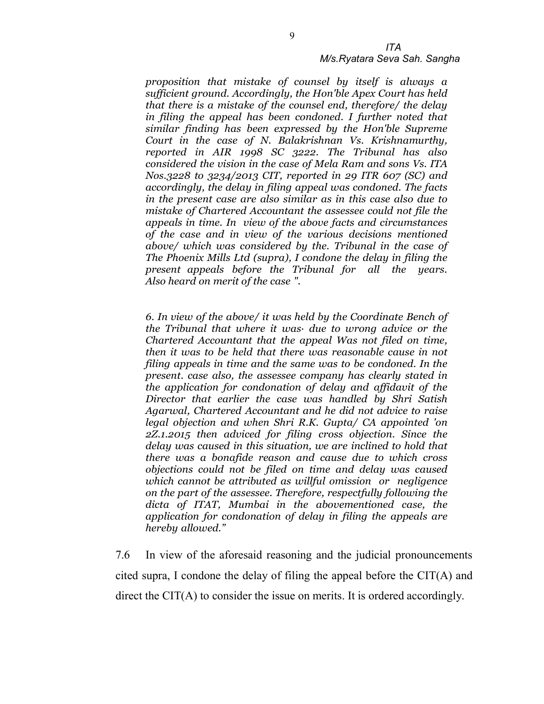#### M/s.Ryatara Seva Sah. Sangha

proposition that mistake of counsel by itself is always a sufficient ground. Accordingly, the Hon'ble Apex Court has held that there is a mistake of the counsel end, therefore/ the delay in filing the appeal has been condoned. I further noted that similar finding has been expressed by the Hon'ble Supreme Court in the case of N. Balakrishnan Vs. Krishnamurthy, reported in AIR 1998 SC 3222. The Tribunal has also considered the vision in the case of Mela Ram and sons Vs. ITA Nos.3228 to 3234/2013 CIT, reported in 29 ITR 607 (SC) and accordingly, the delay in filing appeal was condoned. The facts in the present case are also similar as in this case also due to mistake of Chartered Accountant the assessee could not file the appeals in time. In view of the above facts and circumstances of the case and in view of the various decisions mentioned above/ which was considered by the. Tribunal in the case of The Phoenix Mills Ltd (supra), I condone the delay in filing the present appeals before the Tribunal for all the years. Also heard on merit of the case ".

6. In view of the above/ it was held by the Coordinate Bench of the Tribunal that where it was· due to wrong advice or the Chartered Accountant that the appeal Was not filed on time, then it was to be held that there was reasonable cause in not filing appeals in time and the same was to be condoned. In the present. case also, the assessee company has clearly stated in the application for condonation of delay and affidavit of the Director that earlier the case was handled by Shri Satish Agarwal, Chartered Accountant and he did not advice to raise legal objection and when Shri R.K. Gupta/ CA appointed 'on 2Z.1.2015 then adviced for filing cross objection. Since the delay was caused in this situation, we are inclined to hold that there was a bonafide reason and cause due to which cross objections could not be filed on time and delay was caused which cannot be attributed as willful omission or negligence on the part of the assessee. Therefore, respectfully following the dicta of ITAT, Mumbai in the abovementioned case, the application for condonation of delay in filing the appeals are hereby allowed."

7.6 In view of the aforesaid reasoning and the judicial pronouncements cited supra, I condone the delay of filing the appeal before the CIT(A) and direct the CIT(A) to consider the issue on merits. It is ordered accordingly.